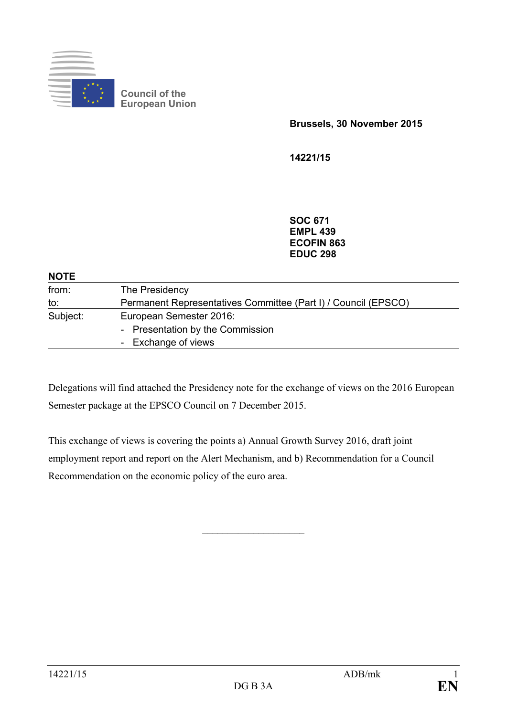

**Council of the European Union**

**Brussels, 30 November 2015**

**14221/15**

**SOC 671 EMPL 439 ECOFIN 863 EDUC 298**

| <b>NOTE</b> |                                                                |
|-------------|----------------------------------------------------------------|
| from:       | The Presidency                                                 |
| to:         | Permanent Representatives Committee (Part I) / Council (EPSCO) |
| Subject:    | European Semester 2016:                                        |
|             | - Presentation by the Commission                               |
|             | - Exchange of views                                            |
|             |                                                                |

Delegations will find attached the Presidency note for the exchange of views on the 2016 European Semester package at the EPSCO Council on 7 December 2015.

This exchange of views is covering the points a) Annual Growth Survey 2016, draft joint employment report and report on the Alert Mechanism, and b) Recommendation for a Council Recommendation on the economic policy of the euro area.

 $\overline{\phantom{a}}$  , and the set of the set of the set of the set of the set of the set of the set of the set of the set of the set of the set of the set of the set of the set of the set of the set of the set of the set of the s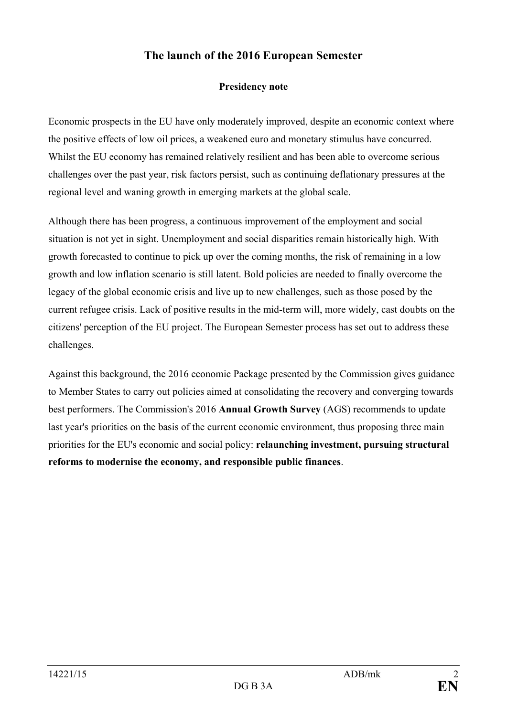## **The launch of the 2016 European Semester**

## **Presidency note**

Economic prospects in the EU have only moderately improved, despite an economic context where the positive effects of low oil prices, a weakened euro and monetary stimulus have concurred. Whilst the EU economy has remained relatively resilient and has been able to overcome serious challenges over the past year, risk factors persist, such as continuing deflationary pressures at the regional level and waning growth in emerging markets at the global scale.

Although there has been progress, a continuous improvement of the employment and social situation is not yet in sight. Unemployment and social disparities remain historically high. With growth forecasted to continue to pick up over the coming months, the risk of remaining in a low growth and low inflation scenario is still latent. Bold policies are needed to finally overcome the legacy of the global economic crisis and live up to new challenges, such as those posed by the current refugee crisis. Lack of positive results in the mid-term will, more widely, cast doubts on the citizens' perception of the EU project. The European Semester process has set out to address these challenges.

Against this background, the 2016 economic Package presented by the Commission gives guidance to Member States to carry out policies aimed at consolidating the recovery and converging towards best performers. The Commission's 2016 **Annual Growth Survey** (AGS) recommends to update last year's priorities on the basis of the current economic environment, thus proposing three main priorities for the EU's economic and social policy: **relaunching investment, pursuing structural reforms to modernise the economy, and responsible public finances**.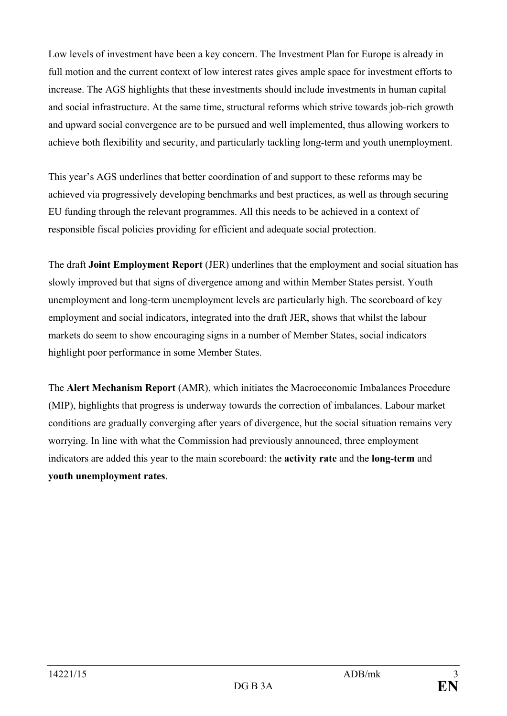Low levels of investment have been a key concern. The Investment Plan for Europe is already in full motion and the current context of low interest rates gives ample space for investment efforts to increase. The AGS highlights that these investments should include investments in human capital and social infrastructure. At the same time, structural reforms which strive towards job-rich growth and upward social convergence are to be pursued and well implemented, thus allowing workers to achieve both flexibility and security, and particularly tackling long-term and youth unemployment.

This year's AGS underlines that better coordination of and support to these reforms may be achieved via progressively developing benchmarks and best practices, as well as through securing EU funding through the relevant programmes. All this needs to be achieved in a context of responsible fiscal policies providing for efficient and adequate social protection.

The draft **Joint Employment Report** (JER) underlines that the employment and social situation has slowly improved but that signs of divergence among and within Member States persist. Youth unemployment and long-term unemployment levels are particularly high. The scoreboard of key employment and social indicators, integrated into the draft JER, shows that whilst the labour markets do seem to show encouraging signs in a number of Member States, social indicators highlight poor performance in some Member States.

The **Alert Mechanism Report** (AMR), which initiates the Macroeconomic Imbalances Procedure (MIP), highlights that progress is underway towards the correction of imbalances. Labour market conditions are gradually converging after years of divergence, but the social situation remains very worrying. In line with what the Commission had previously announced, three employment indicators are added this year to the main scoreboard: the **activity rate** and the **long-term** and **youth unemployment rates**.